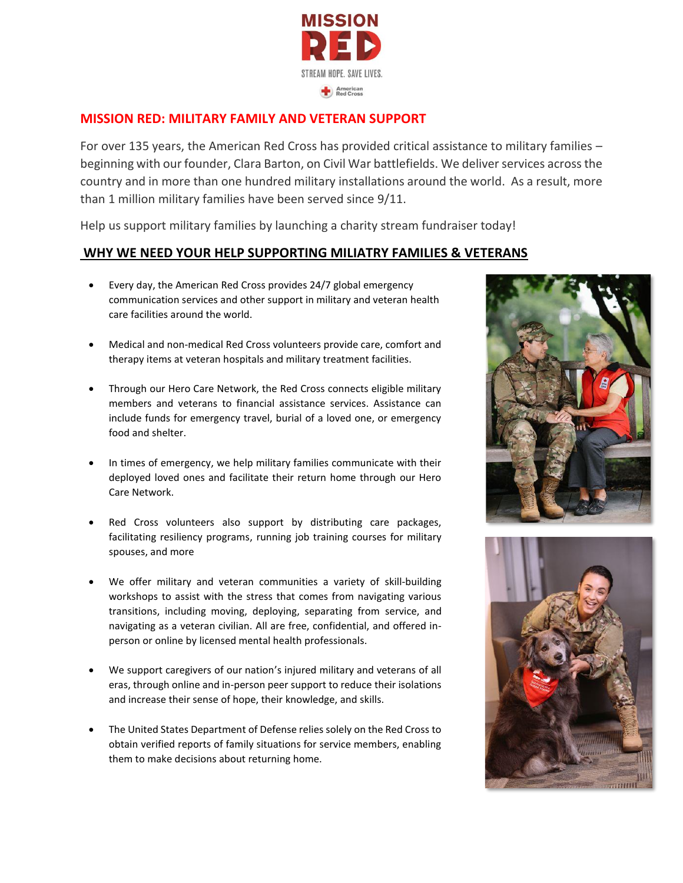

## **MISSION RED: MILITARY FAMILY AND VETERAN SUPPORT**

For over 135 years, the American Red Cross has provided critical assistance to military families – beginning with our founder, Clara Barton, on Civil War battlefields. We deliver services across the country and in more than one hundred military installations around the world. As a result, more than 1 million military families have been served since 9/11.

Help us support military families by launching a charity stream fundraiser today!

## **WHY WE NEED YOUR HELP SUPPORTING MILIATRY FAMILIES & VETERANS**

- Every day, the American Red Cross provides 24/7 global emergency communication services and other support in military and veteran health care facilities around the world.
- Medical and non-medical Red Cross volunteers provide care, comfort and therapy items at veteran hospitals and military treatment facilities.
- Through our Hero Care Network, the Red Cross connects eligible military members and veterans to financial assistance services. Assistance can include funds for emergency travel, burial of a loved one, or emergency food and shelter.
- In times of emergency, we help military families communicate with their deployed loved ones and facilitate their return home through our Hero Care Network.
- Red Cross volunteers also support by distributing care packages, facilitating resiliency programs, running job training courses for military spouses, and more
- We offer military and veteran communities a variety of skill-building workshops to assist with the stress that comes from navigating various transitions, including moving, deploying, separating from service, and navigating as a veteran civilian. All are free, confidential, and offered inperson or online by licensed mental health professionals.
- We support caregivers of our nation's injured military and veterans of all eras, through online and in-person peer support to reduce their isolations and increase their sense of hope, their knowledge, and skills.
- The United States Department of Defense relies solely on the Red Cross to obtain verified reports of family situations for service members, enabling them to make decisions about returning home.